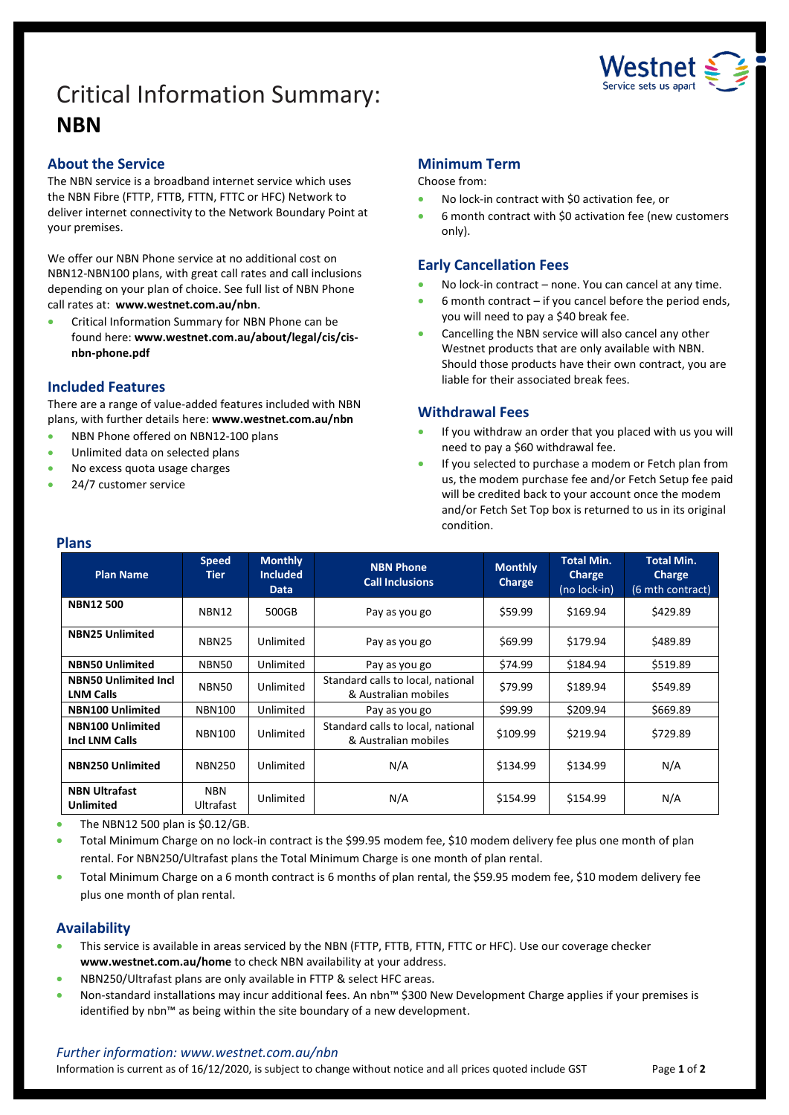# Critical Information Summary: **NBN**



#### **About the Service**

The NBN service is a broadband internet service which uses the NBN Fibre (FTTP, FTTB, FTTN, FTTC or HFC) Network to deliver internet connectivity to the Network Boundary Point at your premises.

We offer our NBN Phone service at no additional cost on NBN12-NBN100 plans, with great call rates and call inclusions depending on your plan of choice. See full list of NBN Phone call rates at: **www.westnet.com.au/nbn**.

• Critical Information Summary for NBN Phone can be found here: **www.westnet.com.au/about/legal/cis/cisnbn-phone.pdf**

# **Included Features**

There are a range of value-added features included with NBN plans, with further details here: **www.westnet.com.au/nbn**

- NBN Phone offered on NBN12-100 plans
- Unlimited data on selected plans
- No excess quota usage charges
- 24/7 customer service

# **Minimum Term**

Choose from:

- No lock-in contract with \$0 activation fee, or
- 6 month contract with \$0 activation fee (new customers only).

# **Early Cancellation Fees**

- No lock-in contract none. You can cancel at any time.
- $6$  month contract if you cancel before the period ends, you will need to pay a \$40 break fee.
- Cancelling the NBN service will also cancel any other Westnet products that are only available with NBN. Should those products have their own contract, you are liable for their associated break fees.

# **Withdrawal Fees**

- If you withdraw an order that you placed with us you will need to pay a \$60 withdrawal fee.
- If you selected to purchase a modem or Fetch plan from us, the modem purchase fee and/or Fetch Setup fee paid will be credited back to your account once the modem and/or Fetch Set Top box is returned to us in its original condition.

#### **Plans**

| <b>Plan Name</b>                                 | <b>Speed</b><br><b>Tier</b> | <b>Monthly</b><br><b>Included</b><br><b>Data</b> | <b>NBN Phone</b><br><b>Call Inclusions</b>                | <b>Monthly</b><br>Charge | <b>Total Min.</b><br>Charge<br>(no lock-in) | <b>Total Min.</b><br>Charge<br>(6 mth contract) |
|--------------------------------------------------|-----------------------------|--------------------------------------------------|-----------------------------------------------------------|--------------------------|---------------------------------------------|-------------------------------------------------|
| <b>NBN12500</b>                                  | NBN12                       | 500GB                                            | Pay as you go                                             | \$59.99                  | \$169.94                                    | \$429.89                                        |
| <b>NBN25 Unlimited</b>                           | <b>NBN25</b>                | Unlimited                                        | Pay as you go                                             | \$69.99                  | \$179.94                                    | \$489.89                                        |
| <b>NBN50 Unlimited</b>                           | NBN50                       | Unlimited                                        | Pay as you go                                             | \$74.99                  | \$184.94                                    | \$519.89                                        |
| <b>NBN50 Unlimited Incl</b><br><b>LNM Calls</b>  | NBN50                       | Unlimited                                        | Standard calls to local, national<br>& Australian mobiles | \$79.99                  | \$189.94                                    | \$549.89                                        |
| <b>NBN100 Unlimited</b>                          | <b>NBN100</b>               | Unlimited                                        | Pay as you go                                             | \$99.99                  | \$209.94                                    | \$669.89                                        |
| <b>NBN100 Unlimited</b><br><b>Incl LNM Calls</b> | <b>NBN100</b>               | Unlimited                                        | Standard calls to local, national<br>& Australian mobiles | \$109.99                 | \$219.94                                    | \$729.89                                        |
| <b>NBN250 Unlimited</b>                          | <b>NBN250</b>               | Unlimited                                        | N/A                                                       | \$134.99                 | \$134.99                                    | N/A                                             |
| <b>NBN Ultrafast</b><br><b>Unlimited</b>         | <b>NBN</b><br>Ultrafast     | Unlimited                                        | N/A                                                       | \$154.99                 | \$154.99                                    | N/A                                             |

• The NBN12 500 plan is \$0.12/GB.

• Total Minimum Charge on no lock-in contract is the \$99.95 modem fee, \$10 modem delivery fee plus one month of plan rental. For NBN250/Ultrafast plans the Total Minimum Charge is one month of plan rental.

• Total Minimum Charge on a 6 month contract is 6 months of plan rental, the \$59.95 modem fee, \$10 modem delivery fee plus one month of plan rental.

#### **Availability**

- This service is available in areas serviced by the NBN (FTTP, FTTB, FTTN, FTTC or HFC). Use ou[r coverage checker](https://www.westnet.com.au/internet-products/broadband/nbn/coverage/) **[www.westnet.com.au/home](http://www.westnet.com.au/home)** to check NBN availability at your address.
- NBN250/Ultrafast plans are only available in FTTP & select HFC areas.
- Non-standard installations may incur additional fees. An nbn™ \$300 New Development Charge applies if your premises is identified by nbn™ as being within the site boundary of a new development.

#### *Further information: www.westnet.com.au/nbn*

Information is current as of 16/12/2020, is subject to change without notice and all prices quoted include GST Page **1** of **2**